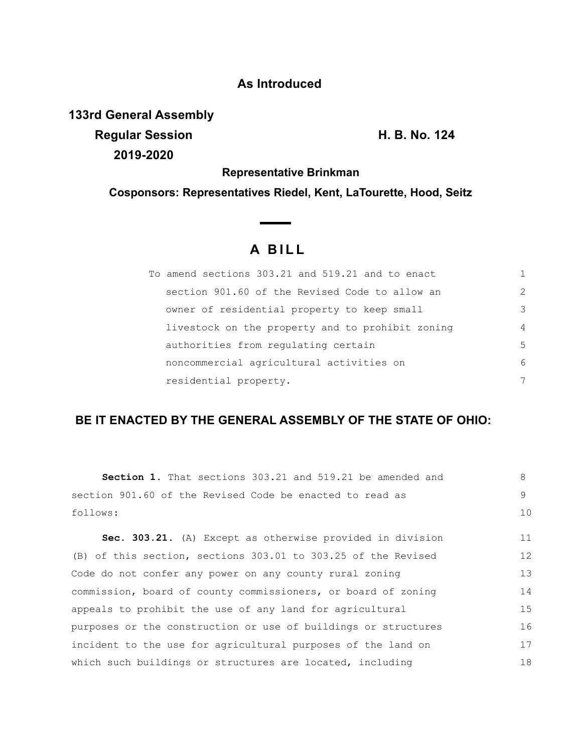### **As Introduced**

**133rd General Assembly**

**Regular Session H. B. No. 124 2019-2020**

**Representative Brinkman**

**Cosponsors: Representatives Riedel, Kent, LaTourette, Hood, Seitz**

# **A B I L L**

 $\sim$   $\sim$ 

| To amend sections 303.21 and 519.21 and to enact |                |
|--------------------------------------------------|----------------|
| section 901.60 of the Revised Code to allow an   | $\mathcal{L}$  |
| owner of residential property to keep small      | 3              |
| livestock on the property and to prohibit zoning | $\overline{4}$ |
| authorities from regulating certain              | 5              |
| noncommercial agricultural activities on         | 6              |
| residential property.                            | 7              |

## **BE IT ENACTED BY THE GENERAL ASSEMBLY OF THE STATE OF OHIO:**

| <b>Section 1.</b> That sections 303.21 and 519.21 be amended and | 8       |
|------------------------------------------------------------------|---------|
| section 901.60 of the Revised Code be enacted to read as         | $\circ$ |
| follows:                                                         | 10      |
| Sec. 303.21. (A) Except as otherwise provided in division        | 11      |
| (B) of this section, sections 303.01 to 303.25 of the Revised    | 12      |
| Code do not confer any power on any county rural zoning          | 13      |
| commission, board of county commissioners, or board of zoning    | 14      |
| appeals to prohibit the use of any land for agricultural         | 15      |
| purposes or the construction or use of buildings or structures   | 16      |
| incident to the use for agricultural purposes of the land on     | 17      |
| which such buildings or structures are located, including        | 18      |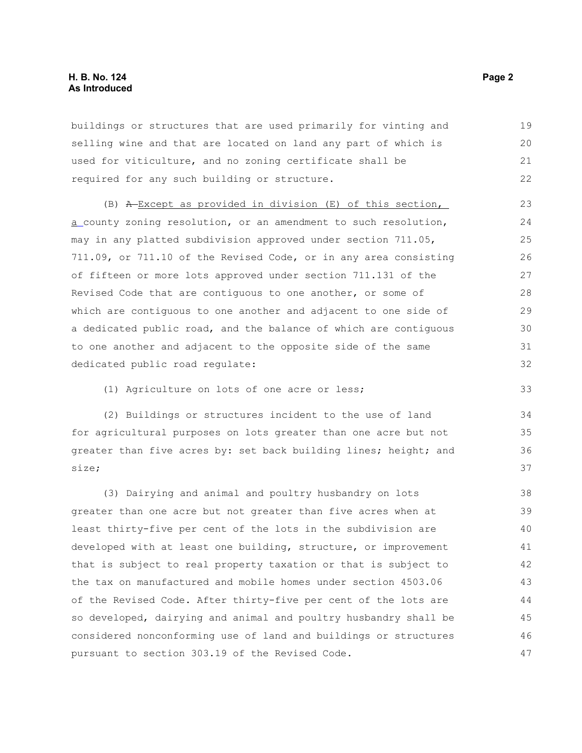buildings or structures that are used primarily for vinting and selling wine and that are located on land any part of which is used for viticulture, and no zoning certificate shall be required for any such building or structure. 19 20 21 22

(B) A Except as provided in division (E) of this section, a county zoning resolution, or an amendment to such resolution, may in any platted subdivision approved under section 711.05, 711.09, or 711.10 of the Revised Code, or in any area consisting of fifteen or more lots approved under section 711.131 of the Revised Code that are contiguous to one another, or some of which are contiguous to one another and adjacent to one side of a dedicated public road, and the balance of which are contiguous to one another and adjacent to the opposite side of the same dedicated public road regulate:

(1) Agriculture on lots of one acre or less;

(2) Buildings or structures incident to the use of land for agricultural purposes on lots greater than one acre but not greater than five acres by: set back building lines; height; and size;

(3) Dairying and animal and poultry husbandry on lots greater than one acre but not greater than five acres when at least thirty-five per cent of the lots in the subdivision are developed with at least one building, structure, or improvement that is subject to real property taxation or that is subject to the tax on manufactured and mobile homes under section 4503.06 of the Revised Code. After thirty-five per cent of the lots are so developed, dairying and animal and poultry husbandry shall be considered nonconforming use of land and buildings or structures pursuant to section 303.19 of the Revised Code. 38 39 40 41 42 43 44 45 46 47

33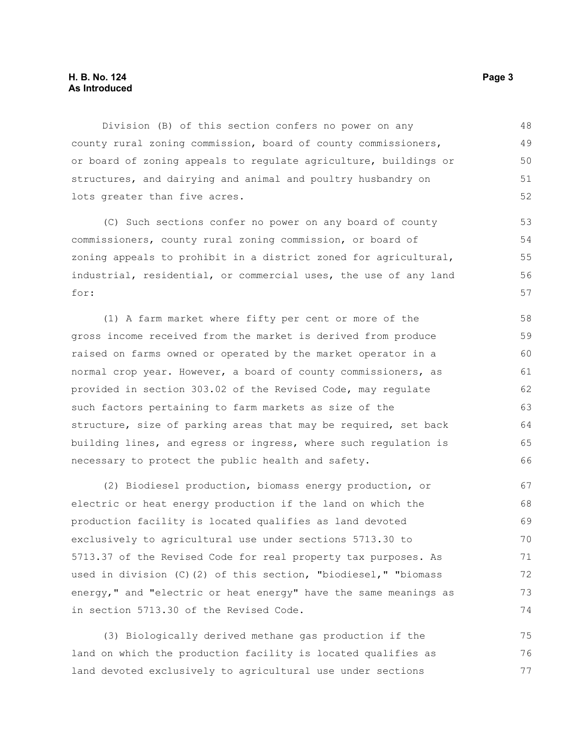### **H. B. No. 124 Page 3 As Introduced**

Division (B) of this section confers no power on any county rural zoning commission, board of county commissioners, or board of zoning appeals to regulate agriculture, buildings or structures, and dairying and animal and poultry husbandry on lots greater than five acres. 48 49 50 51 52

(C) Such sections confer no power on any board of county commissioners, county rural zoning commission, or board of zoning appeals to prohibit in a district zoned for agricultural, industrial, residential, or commercial uses, the use of any land for:

(1) A farm market where fifty per cent or more of the gross income received from the market is derived from produce raised on farms owned or operated by the market operator in a normal crop year. However, a board of county commissioners, as provided in section 303.02 of the Revised Code, may regulate such factors pertaining to farm markets as size of the structure, size of parking areas that may be required, set back building lines, and egress or ingress, where such regulation is necessary to protect the public health and safety. 58 59 60 61 62 63 64 65 66

(2) Biodiesel production, biomass energy production, or electric or heat energy production if the land on which the production facility is located qualifies as land devoted exclusively to agricultural use under sections 5713.30 to 5713.37 of the Revised Code for real property tax purposes. As used in division (C)(2) of this section, "biodiesel," "biomass energy," and "electric or heat energy" have the same meanings as in section 5713.30 of the Revised Code. 67 68 69 70 71 72 73 74

(3) Biologically derived methane gas production if the land on which the production facility is located qualifies as land devoted exclusively to agricultural use under sections 75 76 77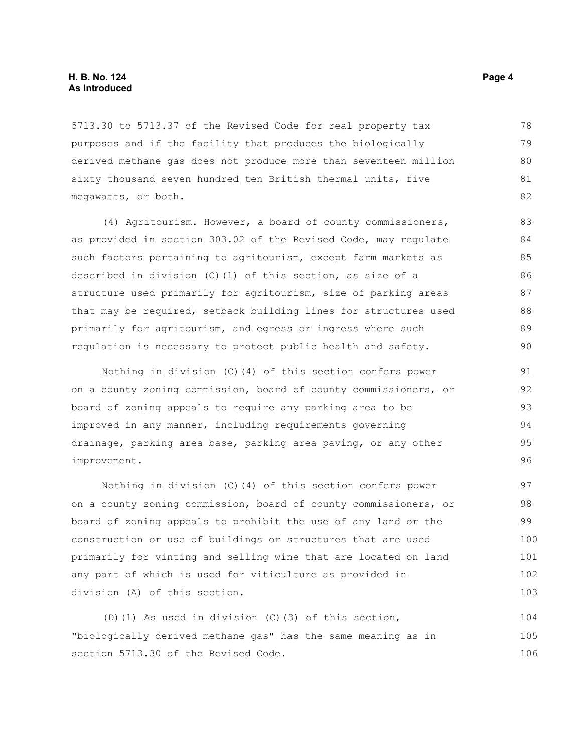### **H. B. No. 124 Page 4 As Introduced**

5713.30 to 5713.37 of the Revised Code for real property tax purposes and if the facility that produces the biologically derived methane gas does not produce more than seventeen million sixty thousand seven hundred ten British thermal units, five megawatts, or both. 78 79 80 81 82

(4) Agritourism. However, a board of county commissioners, as provided in section 303.02 of the Revised Code, may regulate such factors pertaining to agritourism, except farm markets as described in division (C)(1) of this section, as size of a structure used primarily for agritourism, size of parking areas that may be required, setback building lines for structures used primarily for agritourism, and egress or ingress where such regulation is necessary to protect public health and safety.

Nothing in division (C)(4) of this section confers power on a county zoning commission, board of county commissioners, or board of zoning appeals to require any parking area to be improved in any manner, including requirements governing drainage, parking area base, parking area paving, or any other improvement.

Nothing in division (C)(4) of this section confers power on a county zoning commission, board of county commissioners, or board of zoning appeals to prohibit the use of any land or the construction or use of buildings or structures that are used primarily for vinting and selling wine that are located on land any part of which is used for viticulture as provided in division (A) of this section. 97 98 99 100 101 102 103

(D)(1) As used in division (C)(3) of this section, "biologically derived methane gas" has the same meaning as in section 5713.30 of the Revised Code. 104 105 106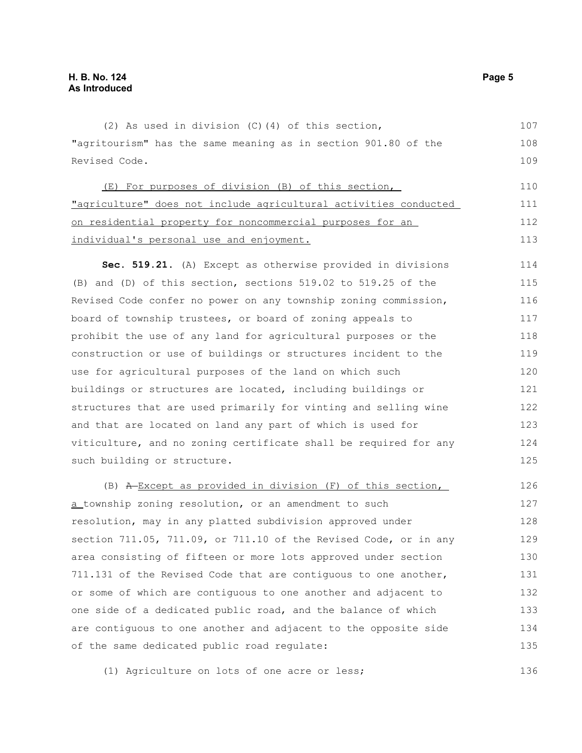(2) As used in division (C)(4) of this section, "agritourism" has the same meaning as in section 901.80 of the Revised Code. (E) For purposes of division (B) of this section, "agriculture" does not include agricultural activities conducted on residential property for noncommercial purposes for an individual's personal use and enjoyment. **Sec. 519.21.** (A) Except as otherwise provided in divisions (B) and (D) of this section, sections 519.02 to 519.25 of the Revised Code confer no power on any township zoning commission, board of township trustees, or board of zoning appeals to prohibit the use of any land for agricultural purposes or the construction or use of buildings or structures incident to the use for agricultural purposes of the land on which such buildings or structures are located, including buildings or structures that are used primarily for vinting and selling wine and that are located on land any part of which is used for viticulture, and no zoning certificate shall be required for any such building or structure. (B) A Except as provided in division (F) of this section, a township zoning resolution, or an amendment to such resolution, may in any platted subdivision approved under section 711.05, 711.09, or 711.10 of the Revised Code, or in any area consisting of fifteen or more lots approved under section 711.131 of the Revised Code that are contiguous to one another, 107 108 109 110 111 112 113 114 115 116 117 118 119 120 121 122 123 124 125 126 127 128 129 130 131

or some of which are contiguous to one another and adjacent to one side of a dedicated public road, and the balance of which are contiguous to one another and adjacent to the opposite side of the same dedicated public road regulate: 132 133 134 135

(1) Agriculture on lots of one acre or less;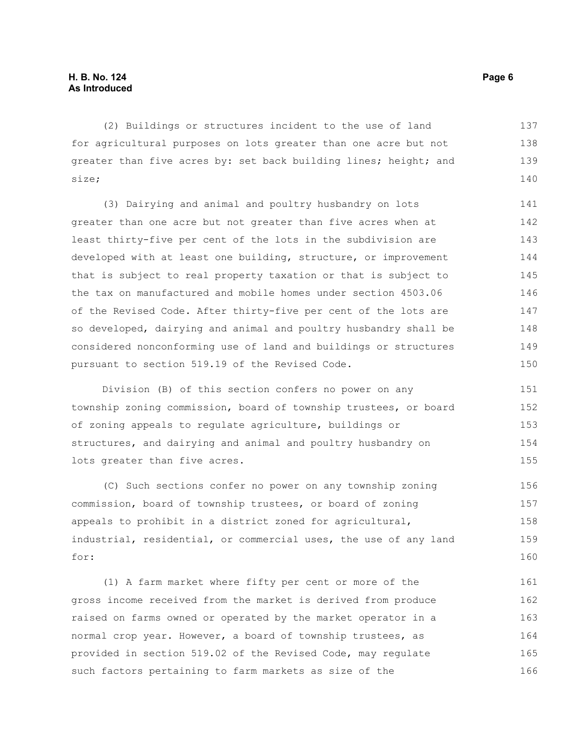(2) Buildings or structures incident to the use of land for agricultural purposes on lots greater than one acre but not greater than five acres by: set back building lines; height; and size; 137 138 139 140

(3) Dairying and animal and poultry husbandry on lots greater than one acre but not greater than five acres when at least thirty-five per cent of the lots in the subdivision are developed with at least one building, structure, or improvement that is subject to real property taxation or that is subject to the tax on manufactured and mobile homes under section 4503.06 of the Revised Code. After thirty-five per cent of the lots are so developed, dairying and animal and poultry husbandry shall be considered nonconforming use of land and buildings or structures pursuant to section 519.19 of the Revised Code. 141 142 143 144 145 146 147 148 149 150

Division (B) of this section confers no power on any township zoning commission, board of township trustees, or board of zoning appeals to regulate agriculture, buildings or structures, and dairying and animal and poultry husbandry on lots greater than five acres. 151 152 153 154 155

(C) Such sections confer no power on any township zoning commission, board of township trustees, or board of zoning appeals to prohibit in a district zoned for agricultural, industrial, residential, or commercial uses, the use of any land for: 156 157 158 159 160

(1) A farm market where fifty per cent or more of the gross income received from the market is derived from produce raised on farms owned or operated by the market operator in a normal crop year. However, a board of township trustees, as provided in section 519.02 of the Revised Code, may regulate such factors pertaining to farm markets as size of the 161 162 163 164 165 166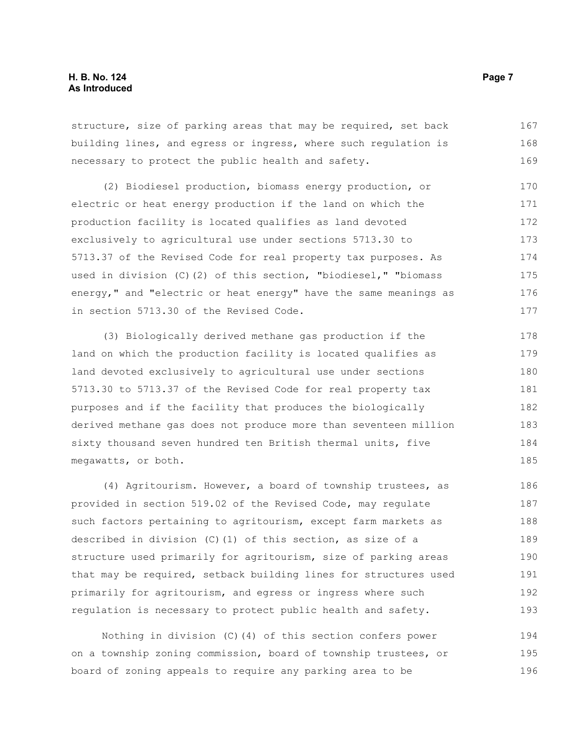structure, size of parking areas that may be required, set back building lines, and egress or ingress, where such regulation is necessary to protect the public health and safety. 167 168 169

(2) Biodiesel production, biomass energy production, or electric or heat energy production if the land on which the production facility is located qualifies as land devoted exclusively to agricultural use under sections 5713.30 to 5713.37 of the Revised Code for real property tax purposes. As used in division (C)(2) of this section, "biodiesel," "biomass energy," and "electric or heat energy" have the same meanings as in section 5713.30 of the Revised Code. 170 171 172 173 174 175 176 177

(3) Biologically derived methane gas production if the land on which the production facility is located qualifies as land devoted exclusively to agricultural use under sections 5713.30 to 5713.37 of the Revised Code for real property tax purposes and if the facility that produces the biologically derived methane gas does not produce more than seventeen million sixty thousand seven hundred ten British thermal units, five megawatts, or both. 178 179 180 181 182 183 184 185

(4) Agritourism. However, a board of township trustees, as provided in section 519.02 of the Revised Code, may regulate such factors pertaining to agritourism, except farm markets as described in division (C)(1) of this section, as size of a structure used primarily for agritourism, size of parking areas that may be required, setback building lines for structures used primarily for agritourism, and egress or ingress where such regulation is necessary to protect public health and safety. 186 187 188 189 190 191 192 193

Nothing in division (C)(4) of this section confers power on a township zoning commission, board of township trustees, or board of zoning appeals to require any parking area to be 194 195 196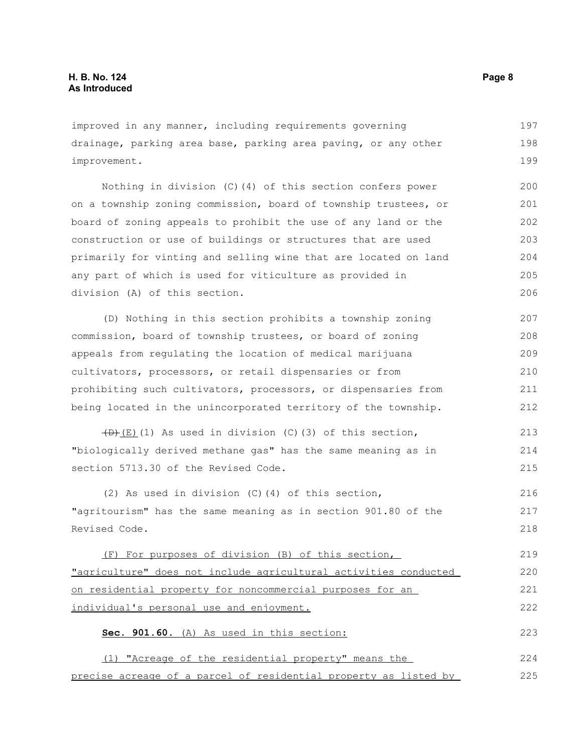improved in any manner, including requirements governing drainage, parking area base, parking area paving, or any other improvement. 197 198 199

Nothing in division (C)(4) of this section confers power on a township zoning commission, board of township trustees, or board of zoning appeals to prohibit the use of any land or the construction or use of buildings or structures that are used primarily for vinting and selling wine that are located on land any part of which is used for viticulture as provided in division (A) of this section. 200 201 202 203 204 205 206

(D) Nothing in this section prohibits a township zoning commission, board of township trustees, or board of zoning appeals from regulating the location of medical marijuana cultivators, processors, or retail dispensaries or from prohibiting such cultivators, processors, or dispensaries from being located in the unincorporated territory of the township. 207 208 209 210 211 212

 $(D)$ (E)(1) As used in division (C)(3) of this section, "biologically derived methane gas" has the same meaning as in section 5713.30 of the Revised Code. 213 214 215

(2) As used in division (C)(4) of this section, "agritourism" has the same meaning as in section 901.80 of the Revised Code. 216 217 218

(F) For purposes of division (B) of this section, "agriculture" does not include agricultural activities conducted on residential property for noncommercial purposes for an individual's personal use and enjoyment. 219 220 221 222

**Sec. 901.60.** (A) As used in this section:

(1) "Acreage of the residential property" means the precise acreage of a parcel of residential property as listed by 224 225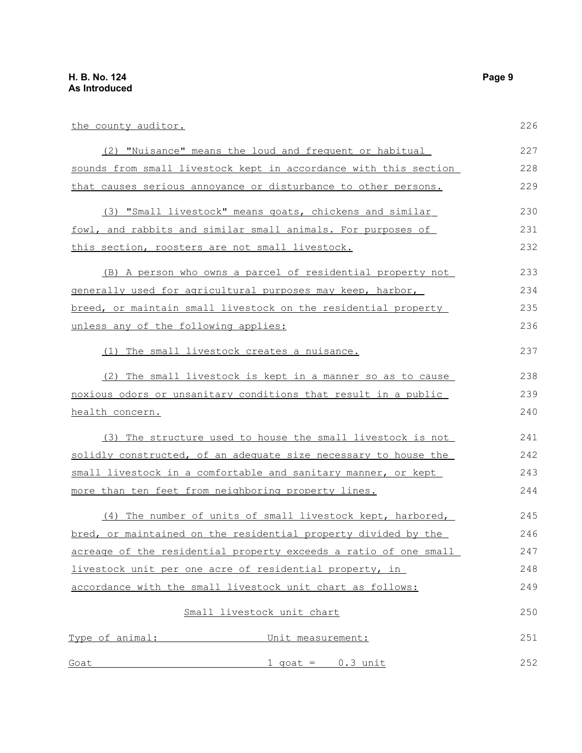| the county auditor.                                              | 226 |  |
|------------------------------------------------------------------|-----|--|
| (2) "Nuisance" means the loud and frequent or habitual           | 227 |  |
| sounds from small livestock kept in accordance with this section |     |  |
| that causes serious annoyance or disturbance to other persons.   | 229 |  |
| (3) "Small livestock" means goats, chickens and similar          | 230 |  |
| fowl, and rabbits and similar small animals. For purposes of     | 231 |  |
| this section, roosters are not small livestock.                  | 232 |  |
| (B) A person who owns a parcel of residential property not       | 233 |  |
| generally used for agricultural purposes may keep, harbor,       | 234 |  |
| breed, or maintain small livestock on the residential property   | 235 |  |
| unless any of the following applies:                             |     |  |
| (1) The small livestock creates a nuisance.                      | 237 |  |
| (2) The small livestock is kept in a manner so as to cause       | 238 |  |
| noxious odors or unsanitary conditions that result in a public   |     |  |
| health concern.                                                  |     |  |
| (3) The structure used to house the small livestock is not       | 241 |  |
| solidly constructed, of an adequate size necessary to house the  | 242 |  |
| small livestock in a comfortable and sanitary manner, or kept    |     |  |
| more than ten feet from neighboring property lines.              | 244 |  |
| (4) The number of units of small livestock kept, harbored,       | 245 |  |
| bred, or maintained on the residential property divided by the   | 246 |  |
| acreage of the residential property exceeds a ratio of one small | 247 |  |
| livestock unit per one acre of residential property, in          | 248 |  |
| accordance with the small livestock unit chart as follows:       | 249 |  |
| Small livestock unit chart                                       | 250 |  |
| Type of animal: Unit measurement:                                | 251 |  |
| $1$ qoat = $0.3$ unit<br>Goat                                    | 252 |  |